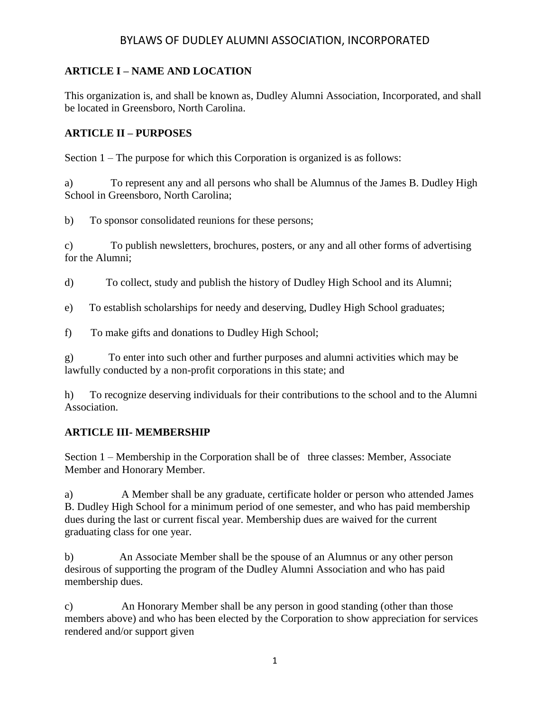### **ARTICLE I – NAME AND LOCATION**

This organization is, and shall be known as, Dudley Alumni Association, Incorporated, and shall be located in Greensboro, North Carolina.

#### **ARTICLE II – PURPOSES**

Section 1 – The purpose for which this Corporation is organized is as follows:

a) To represent any and all persons who shall be Alumnus of the James B. Dudley High School in Greensboro, North Carolina;

b) To sponsor consolidated reunions for these persons;

c) To publish newsletters, brochures, posters, or any and all other forms of advertising for the Alumni;

d) To collect, study and publish the history of Dudley High School and its Alumni;

e) To establish scholarships for needy and deserving, Dudley High School graduates;

f) To make gifts and donations to Dudley High School;

g) To enter into such other and further purposes and alumni activities which may be lawfully conducted by a non-profit corporations in this state; and

h) To recognize deserving individuals for their contributions to the school and to the Alumni Association.

#### **ARTICLE III- MEMBERSHIP**

Section 1 – Membership in the Corporation shall be of three classes: Member, Associate Member and Honorary Member.

a) A Member shall be any graduate, certificate holder or person who attended James B. Dudley High School for a minimum period of one semester, and who has paid membership dues during the last or current fiscal year. Membership dues are waived for the current graduating class for one year.

b) An Associate Member shall be the spouse of an Alumnus or any other person desirous of supporting the program of the Dudley Alumni Association and who has paid membership dues.

c) An Honorary Member shall be any person in good standing (other than those members above) and who has been elected by the Corporation to show appreciation for services rendered and/or support given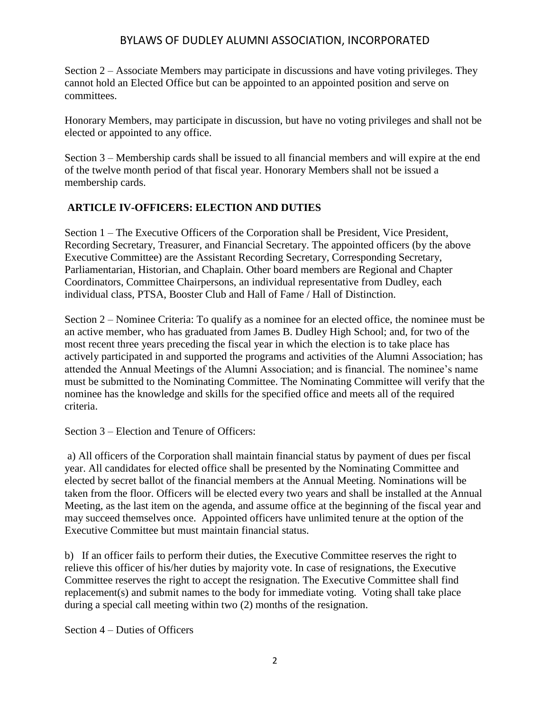Section 2 – Associate Members may participate in discussions and have voting privileges. They cannot hold an Elected Office but can be appointed to an appointed position and serve on committees.

Honorary Members, may participate in discussion, but have no voting privileges and shall not be elected or appointed to any office.

Section 3 – Membership cards shall be issued to all financial members and will expire at the end of the twelve month period of that fiscal year. Honorary Members shall not be issued a membership cards.

### **ARTICLE IV-OFFICERS: ELECTION AND DUTIES**

Section 1 – The Executive Officers of the Corporation shall be President, Vice President, Recording Secretary, Treasurer, and Financial Secretary. The appointed officers (by the above Executive Committee) are the Assistant Recording Secretary, Corresponding Secretary, Parliamentarian, Historian, and Chaplain. Other board members are Regional and Chapter Coordinators, Committee Chairpersons, an individual representative from Dudley, each individual class, PTSA, Booster Club and Hall of Fame / Hall of Distinction.

Section 2 – Nominee Criteria: To qualify as a nominee for an elected office, the nominee must be an active member, who has graduated from James B. Dudley High School; and, for two of the most recent three years preceding the fiscal year in which the election is to take place has actively participated in and supported the programs and activities of the Alumni Association; has attended the Annual Meetings of the Alumni Association; and is financial. The nominee's name must be submitted to the Nominating Committee. The Nominating Committee will verify that the nominee has the knowledge and skills for the specified office and meets all of the required criteria.

Section 3 – Election and Tenure of Officers:

a) All officers of the Corporation shall maintain financial status by payment of dues per fiscal year. All candidates for elected office shall be presented by the Nominating Committee and elected by secret ballot of the financial members at the Annual Meeting. Nominations will be taken from the floor. Officers will be elected every two years and shall be installed at the Annual Meeting, as the last item on the agenda, and assume office at the beginning of the fiscal year and may succeed themselves once. Appointed officers have unlimited tenure at the option of the Executive Committee but must maintain financial status.

b) If an officer fails to perform their duties, the Executive Committee reserves the right to relieve this officer of his/her duties by majority vote. In case of resignations, the Executive Committee reserves the right to accept the resignation. The Executive Committee shall find replacement(s) and submit names to the body for immediate voting. Voting shall take place during a special call meeting within two (2) months of the resignation.

Section 4 – Duties of Officers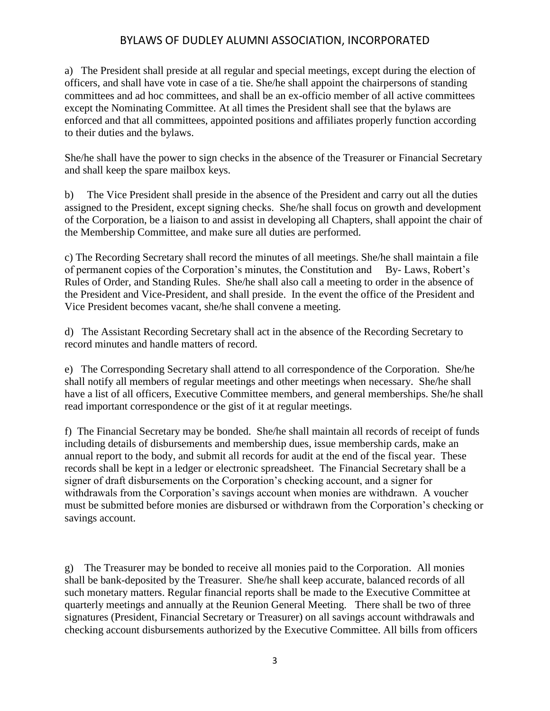a) The President shall preside at all regular and special meetings, except during the election of officers, and shall have vote in case of a tie. She/he shall appoint the chairpersons of standing committees and ad hoc committees, and shall be an ex-officio member of all active committees except the Nominating Committee. At all times the President shall see that the bylaws are enforced and that all committees, appointed positions and affiliates properly function according to their duties and the bylaws.

She/he shall have the power to sign checks in the absence of the Treasurer or Financial Secretary and shall keep the spare mailbox keys.

b) The Vice President shall preside in the absence of the President and carry out all the duties assigned to the President, except signing checks. She/he shall focus on growth and development of the Corporation, be a liaison to and assist in developing all Chapters, shall appoint the chair of the Membership Committee, and make sure all duties are performed.

c) The Recording Secretary shall record the minutes of all meetings. She/he shall maintain a file of permanent copies of the Corporation's minutes, the Constitution and By- Laws, Robert's Rules of Order, and Standing Rules. She/he shall also call a meeting to order in the absence of the President and Vice-President, and shall preside. In the event the office of the President and Vice President becomes vacant, she/he shall convene a meeting.

d) The Assistant Recording Secretary shall act in the absence of the Recording Secretary to record minutes and handle matters of record.

e) The Corresponding Secretary shall attend to all correspondence of the Corporation. She/he shall notify all members of regular meetings and other meetings when necessary. She/he shall have a list of all officers, Executive Committee members, and general memberships. She/he shall read important correspondence or the gist of it at regular meetings.

f) The Financial Secretary may be bonded. She/he shall maintain all records of receipt of funds including details of disbursements and membership dues, issue membership cards, make an annual report to the body, and submit all records for audit at the end of the fiscal year. These records shall be kept in a ledger or electronic spreadsheet. The Financial Secretary shall be a signer of draft disbursements on the Corporation's checking account, and a signer for withdrawals from the Corporation's savings account when monies are withdrawn. A voucher must be submitted before monies are disbursed or withdrawn from the Corporation's checking or savings account.

g) The Treasurer may be bonded to receive all monies paid to the Corporation. All monies shall be bank-deposited by the Treasurer. She/he shall keep accurate, balanced records of all such monetary matters. Regular financial reports shall be made to the Executive Committee at quarterly meetings and annually at the Reunion General Meeting. There shall be two of three signatures (President, Financial Secretary or Treasurer) on all savings account withdrawals and checking account disbursements authorized by the Executive Committee. All bills from officers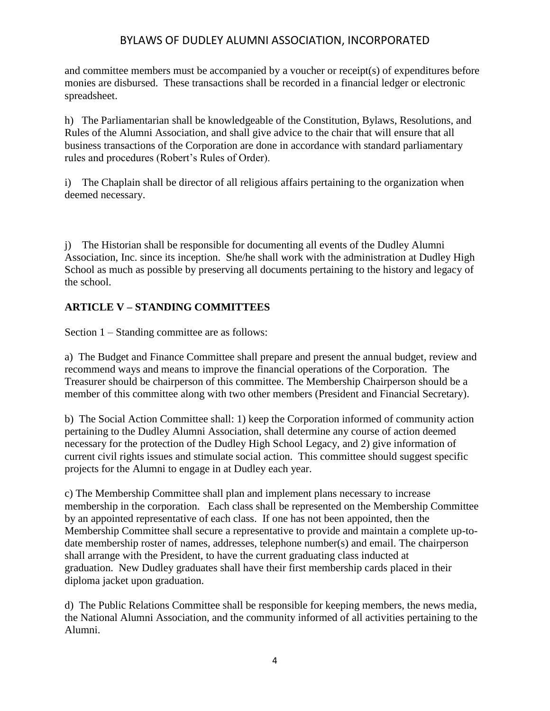and committee members must be accompanied by a voucher or receipt(s) of expenditures before monies are disbursed. These transactions shall be recorded in a financial ledger or electronic spreadsheet.

h) The Parliamentarian shall be knowledgeable of the Constitution, Bylaws, Resolutions, and Rules of the Alumni Association, and shall give advice to the chair that will ensure that all business transactions of the Corporation are done in accordance with standard parliamentary rules and procedures (Robert's Rules of Order).

i) The Chaplain shall be director of all religious affairs pertaining to the organization when deemed necessary.

j) The Historian shall be responsible for documenting all events of the Dudley Alumni Association, Inc. since its inception. She/he shall work with the administration at Dudley High School as much as possible by preserving all documents pertaining to the history and legacy of the school.

### **ARTICLE V – STANDING COMMITTEES**

Section 1 – Standing committee are as follows:

a) The Budget and Finance Committee shall prepare and present the annual budget, review and recommend ways and means to improve the financial operations of the Corporation. The Treasurer should be chairperson of this committee. The Membership Chairperson should be a member of this committee along with two other members (President and Financial Secretary).

b) The Social Action Committee shall: 1) keep the Corporation informed of community action pertaining to the Dudley Alumni Association, shall determine any course of action deemed necessary for the protection of the Dudley High School Legacy, and 2) give information of current civil rights issues and stimulate social action. This committee should suggest specific projects for the Alumni to engage in at Dudley each year.

c) The Membership Committee shall plan and implement plans necessary to increase membership in the corporation. Each class shall be represented on the Membership Committee by an appointed representative of each class. If one has not been appointed, then the Membership Committee shall secure a representative to provide and maintain a complete up-todate membership roster of names, addresses, telephone number(s) and email. The chairperson shall arrange with the President, to have the current graduating class inducted at graduation. New Dudley graduates shall have their first membership cards placed in their diploma jacket upon graduation.

d) The Public Relations Committee shall be responsible for keeping members, the news media, the National Alumni Association, and the community informed of all activities pertaining to the Alumni.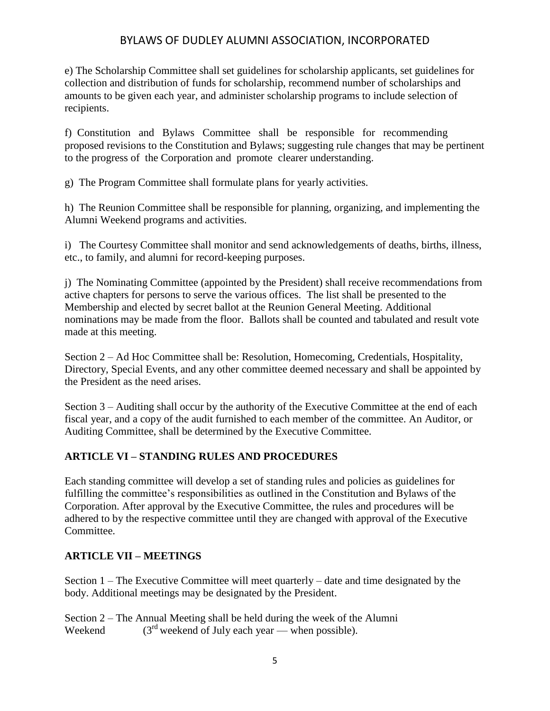e) The Scholarship Committee shall set guidelines for scholarship applicants, set guidelines for collection and distribution of funds for scholarship, recommend number of scholarships and amounts to be given each year, and administer scholarship programs to include selection of recipients.

f) Constitution and Bylaws Committee shall be responsible for recommending proposed revisions to the Constitution and Bylaws; suggesting rule changes that may be pertinent to the progress of the Corporation and promote clearer understanding.

g) The Program Committee shall formulate plans for yearly activities.

h) The Reunion Committee shall be responsible for planning, organizing, and implementing the Alumni Weekend programs and activities.

i) The Courtesy Committee shall monitor and send acknowledgements of deaths, births, illness, etc., to family, and alumni for record-keeping purposes.

j) The Nominating Committee (appointed by the President) shall receive recommendations from active chapters for persons to serve the various offices. The list shall be presented to the Membership and elected by secret ballot at the Reunion General Meeting. Additional nominations may be made from the floor. Ballots shall be counted and tabulated and result vote made at this meeting.

Section 2 – Ad Hoc Committee shall be: Resolution, Homecoming, Credentials, Hospitality, Directory, Special Events, and any other committee deemed necessary and shall be appointed by the President as the need arises.

Section 3 – Auditing shall occur by the authority of the Executive Committee at the end of each fiscal year, and a copy of the audit furnished to each member of the committee. An Auditor, or Auditing Committee, shall be determined by the Executive Committee.

## **ARTICLE VI – STANDING RULES AND PROCEDURES**

Each standing committee will develop a set of standing rules and policies as guidelines for fulfilling the committee's responsibilities as outlined in the Constitution and Bylaws of the Corporation. After approval by the Executive Committee, the rules and procedures will be adhered to by the respective committee until they are changed with approval of the Executive Committee.

# **ARTICLE VII – MEETINGS**

Section 1 – The Executive Committee will meet quarterly – date and time designated by the body. Additional meetings may be designated by the President.

Section 2 – The Annual Meeting shall be held during the week of the Alumni Weekend  $(3<sup>rd</sup>$  weekend of July each year — when possible).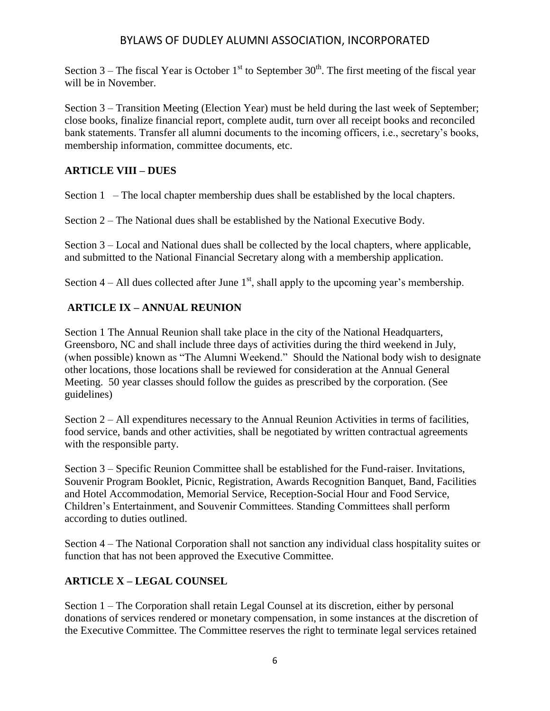Section 3 – The fiscal Year is October  $1<sup>st</sup>$  to September 30<sup>th</sup>. The first meeting of the fiscal year will be in November.

Section 3 – Transition Meeting (Election Year) must be held during the last week of September; close books, finalize financial report, complete audit, turn over all receipt books and reconciled bank statements. Transfer all alumni documents to the incoming officers, i.e., secretary's books, membership information, committee documents, etc.

#### **ARTICLE VIII – DUES**

Section  $1$  – The local chapter membership dues shall be established by the local chapters.

Section 2 – The National dues shall be established by the National Executive Body.

Section 3 – Local and National dues shall be collected by the local chapters, where applicable, and submitted to the National Financial Secretary along with a membership application.

Section  $4 - All$  dues collected after June  $1<sup>st</sup>$ , shall apply to the upcoming year's membership.

### **ARTICLE IX – ANNUAL REUNION**

Section 1 The Annual Reunion shall take place in the city of the National Headquarters, Greensboro, NC and shall include three days of activities during the third weekend in July, (when possible) known as "The Alumni Weekend." Should the National body wish to designate other locations, those locations shall be reviewed for consideration at the Annual General Meeting. 50 year classes should follow the guides as prescribed by the corporation. (See guidelines)

Section 2 – All expenditures necessary to the Annual Reunion Activities in terms of facilities, food service, bands and other activities, shall be negotiated by written contractual agreements with the responsible party.

Section 3 – Specific Reunion Committee shall be established for the Fund-raiser. Invitations, Souvenir Program Booklet, Picnic, Registration, Awards Recognition Banquet, Band, Facilities and Hotel Accommodation, Memorial Service, Reception-Social Hour and Food Service, Children's Entertainment, and Souvenir Committees. Standing Committees shall perform according to duties outlined.

Section 4 – The National Corporation shall not sanction any individual class hospitality suites or function that has not been approved the Executive Committee.

## **ARTICLE X – LEGAL COUNSEL**

Section 1 – The Corporation shall retain Legal Counsel at its discretion, either by personal donations of services rendered or monetary compensation, in some instances at the discretion of the Executive Committee. The Committee reserves the right to terminate legal services retained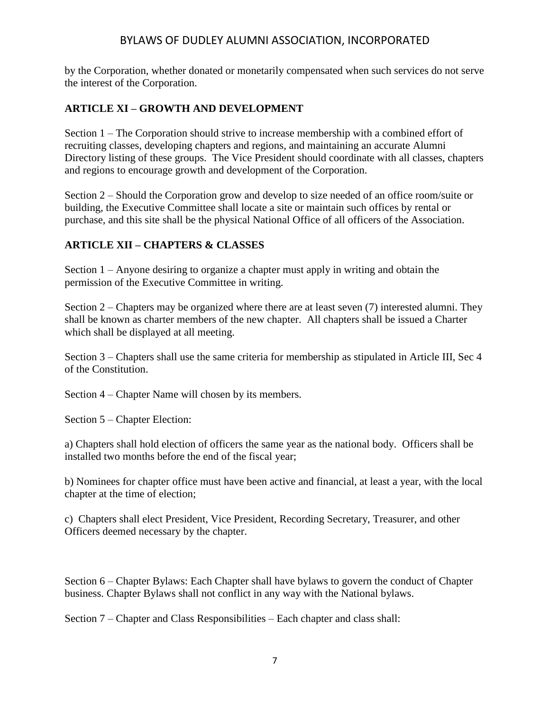by the Corporation, whether donated or monetarily compensated when such services do not serve the interest of the Corporation.

#### **ARTICLE XI – GROWTH AND DEVELOPMENT**

Section 1 – The Corporation should strive to increase membership with a combined effort of recruiting classes, developing chapters and regions, and maintaining an accurate Alumni Directory listing of these groups. The Vice President should coordinate with all classes, chapters and regions to encourage growth and development of the Corporation.

Section 2 – Should the Corporation grow and develop to size needed of an office room/suite or building, the Executive Committee shall locate a site or maintain such offices by rental or purchase, and this site shall be the physical National Office of all officers of the Association.

### **ARTICLE XII – CHAPTERS & CLASSES**

Section 1 – Anyone desiring to organize a chapter must apply in writing and obtain the permission of the Executive Committee in writing.

Section 2 – Chapters may be organized where there are at least seven (7) interested alumni. They shall be known as charter members of the new chapter. All chapters shall be issued a Charter which shall be displayed at all meeting.

Section 3 – Chapters shall use the same criteria for membership as stipulated in Article III, Sec 4 of the Constitution.

Section 4 – Chapter Name will chosen by its members.

Section 5 – Chapter Election:

a) Chapters shall hold election of officers the same year as the national body. Officers shall be installed two months before the end of the fiscal year;

b) Nominees for chapter office must have been active and financial, at least a year, with the local chapter at the time of election;

c) Chapters shall elect President, Vice President, Recording Secretary, Treasurer, and other Officers deemed necessary by the chapter.

Section 6 – Chapter Bylaws: Each Chapter shall have bylaws to govern the conduct of Chapter business. Chapter Bylaws shall not conflict in any way with the National bylaws.

Section 7 – Chapter and Class Responsibilities – Each chapter and class shall: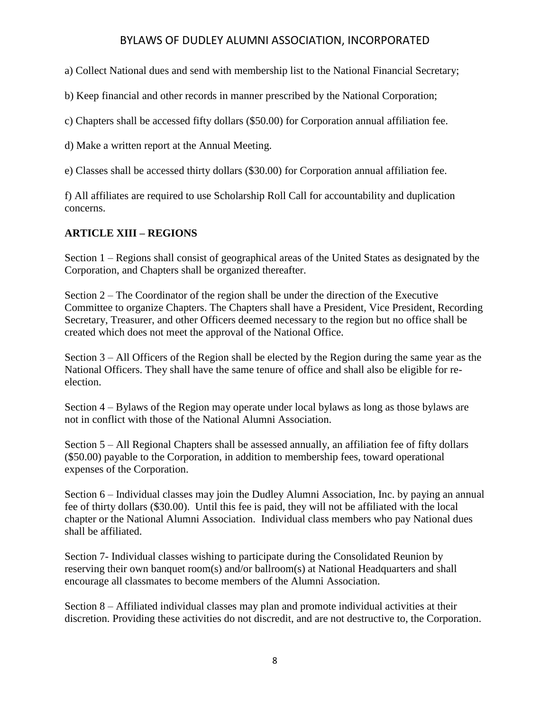a) Collect National dues and send with membership list to the National Financial Secretary;

b) Keep financial and other records in manner prescribed by the National Corporation;

c) Chapters shall be accessed fifty dollars (\$50.00) for Corporation annual affiliation fee.

d) Make a written report at the Annual Meeting.

e) Classes shall be accessed thirty dollars (\$30.00) for Corporation annual affiliation fee.

f) All affiliates are required to use Scholarship Roll Call for accountability and duplication concerns.

## **ARTICLE XIII – REGIONS**

Section 1 – Regions shall consist of geographical areas of the United States as designated by the Corporation, and Chapters shall be organized thereafter.

Section 2 – The Coordinator of the region shall be under the direction of the Executive Committee to organize Chapters. The Chapters shall have a President, Vice President, Recording Secretary, Treasurer, and other Officers deemed necessary to the region but no office shall be created which does not meet the approval of the National Office.

Section 3 – All Officers of the Region shall be elected by the Region during the same year as the National Officers. They shall have the same tenure of office and shall also be eligible for reelection.

Section 4 – Bylaws of the Region may operate under local bylaws as long as those bylaws are not in conflict with those of the National Alumni Association.

Section 5 – All Regional Chapters shall be assessed annually, an affiliation fee of fifty dollars (\$50.00) payable to the Corporation, in addition to membership fees, toward operational expenses of the Corporation.

Section 6 – Individual classes may join the Dudley Alumni Association, Inc. by paying an annual fee of thirty dollars (\$30.00). Until this fee is paid, they will not be affiliated with the local chapter or the National Alumni Association. Individual class members who pay National dues shall be affiliated.

Section 7- Individual classes wishing to participate during the Consolidated Reunion by reserving their own banquet room(s) and/or ballroom(s) at National Headquarters and shall encourage all classmates to become members of the Alumni Association.

Section 8 – Affiliated individual classes may plan and promote individual activities at their discretion. Providing these activities do not discredit, and are not destructive to, the Corporation.